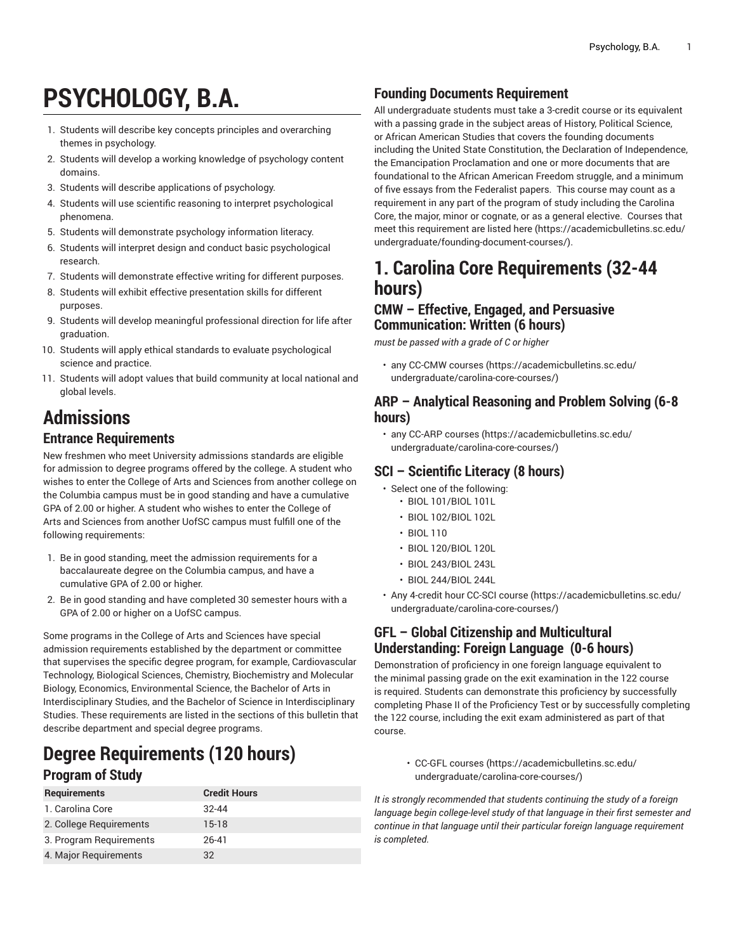# **PSYCHOLOGY, B.A.**

- 1. Students will describe key concepts principles and overarching themes in psychology.
- 2. Students will develop a working knowledge of psychology content domains.
- 3. Students will describe applications of psychology.
- 4. Students will use scientific reasoning to interpret psychological phenomena.
- 5. Students will demonstrate psychology information literacy.
- 6. Students will interpret design and conduct basic psychological research.
- 7. Students will demonstrate effective writing for different purposes.
- 8. Students will exhibit effective presentation skills for different purposes.
- 9. Students will develop meaningful professional direction for life after graduation.
- 10. Students will apply ethical standards to evaluate psychological science and practice.
- 11. Students will adopt values that build community at local national and global levels.

## **Admissions**

#### **Entrance Requirements**

New freshmen who meet University admissions standards are eligible for admission to degree programs offered by the college. A student who wishes to enter the College of Arts and Sciences from another college on the Columbia campus must be in good standing and have a cumulative GPA of 2.00 or higher. A student who wishes to enter the College of Arts and Sciences from another UofSC campus must fulfill one of the following requirements:

- 1. Be in good standing, meet the admission requirements for a baccalaureate degree on the Columbia campus, and have a cumulative GPA of 2.00 or higher.
- 2. Be in good standing and have completed 30 semester hours with a GPA of 2.00 or higher on a UofSC campus.

Some programs in the College of Arts and Sciences have special admission requirements established by the department or committee that supervises the specific degree program, for example, Cardiovascular Technology, Biological Sciences, Chemistry, Biochemistry and Molecular Biology, Economics, Environmental Science, the Bachelor of Arts in Interdisciplinary Studies, and the Bachelor of Science in Interdisciplinary Studies. These requirements are listed in the sections of this bulletin that describe department and special degree programs.

### **Degree Requirements (120 hours) Program of Study**

| <b>Requirements</b>     | <b>Credit Hours</b> |
|-------------------------|---------------------|
| 1. Carolina Core        | $32 - 44$           |
| 2. College Requirements | $15-18$             |
| 3. Program Reguirements | 26-41               |
| 4. Major Requirements   | 32                  |

#### **Founding Documents Requirement**

All undergraduate students must take a 3-credit course or its equivalent with a passing grade in the subject areas of History, Political Science, or African American Studies that covers the founding documents including the United State Constitution, the Declaration of Independence, the Emancipation Proclamation and one or more documents that are foundational to the African American Freedom struggle, and a minimum of five essays from the Federalist papers. This course may count as a requirement in any part of the program of study including the Carolina Core, the major, minor or cognate, or as a general elective. Courses that meet this requirement are listed [here](https://academicbulletins.sc.edu/undergraduate/founding-document-courses/) ([https://academicbulletins.sc.edu/](https://academicbulletins.sc.edu/undergraduate/founding-document-courses/) [undergraduate/founding-document-courses/](https://academicbulletins.sc.edu/undergraduate/founding-document-courses/)).

### **1. Carolina Core Requirements (32-44 hours)**

#### **CMW – Effective, Engaged, and Persuasive Communication: Written (6 hours)**

*must be passed with a grade of C or higher*

• any [CC-CMW courses](https://academicbulletins.sc.edu/undergraduate/carolina-core-courses/) [\(https://academicbulletins.sc.edu/](https://academicbulletins.sc.edu/undergraduate/carolina-core-courses/) [undergraduate/carolina-core-courses/](https://academicbulletins.sc.edu/undergraduate/carolina-core-courses/))

#### **ARP – Analytical Reasoning and Problem Solving (6-8 hours)**

• any [CC-ARP courses \(https://academicbulletins.sc.edu/](https://academicbulletins.sc.edu/undergraduate/carolina-core-courses/) [undergraduate/carolina-core-courses/](https://academicbulletins.sc.edu/undergraduate/carolina-core-courses/))

#### **SCI – Scientific Literacy (8 hours)**

- Select one of the following:
	- BIOL 101/BIOL 101L
	- BIOL 102/BIOL 102L
	- BIOL 110
	- BIOL 120/BIOL 120L
	- BIOL 243/BIOL 243L
	- BIOL 244/BIOL 244L
- Any 4-credit hour [CC-SCI course \(https://academicbulletins.sc.edu/](https://academicbulletins.sc.edu/undergraduate/carolina-core-courses/) [undergraduate/carolina-core-courses/](https://academicbulletins.sc.edu/undergraduate/carolina-core-courses/))

#### **GFL – Global Citizenship and Multicultural Understanding: Foreign Language (0-6 hours)**

Demonstration of proficiency in one foreign language equivalent to the minimal passing grade on the exit examination in the 122 course is required. Students can demonstrate this proficiency by successfully completing Phase II of the Proficiency Test or by successfully completing the 122 course, including the exit exam administered as part of that course.

> • [CC-GFL courses \(https://academicbulletins.sc.edu/](https://academicbulletins.sc.edu/undergraduate/carolina-core-courses/) [undergraduate/carolina-core-courses/](https://academicbulletins.sc.edu/undergraduate/carolina-core-courses/))

*It is strongly recommended that students continuing the study of a foreign language begin college-level study of that language in their first semester and continue in that language until their particular foreign language requirement is completed.*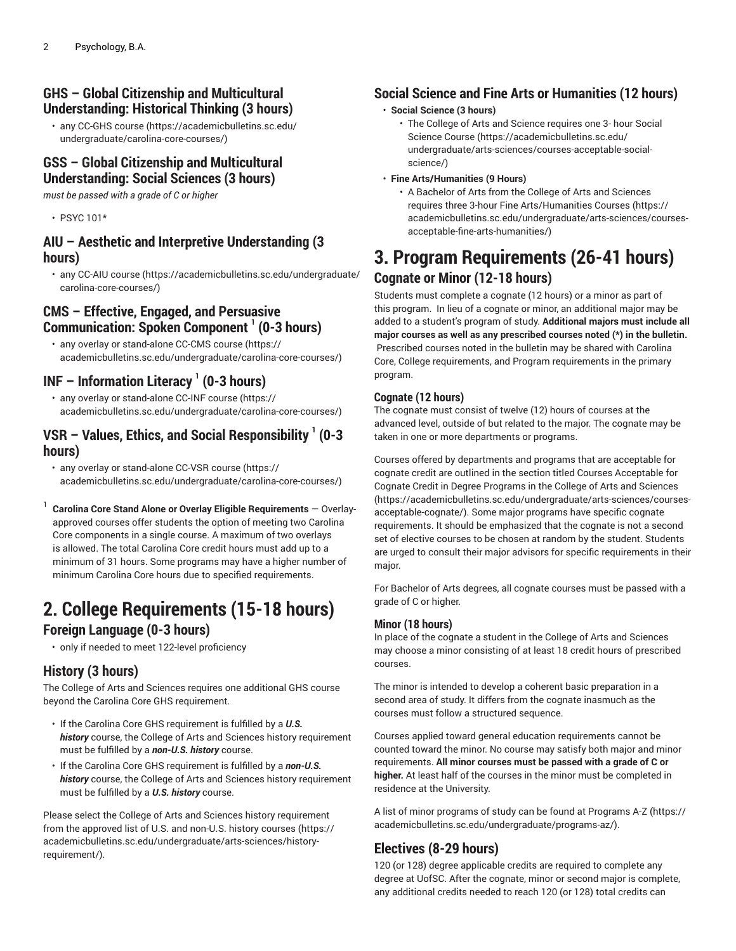#### **GHS – Global Citizenship and Multicultural Understanding: Historical Thinking (3 hours)**

• any [CC-GHS course \(https://academicbulletins.sc.edu/](https://academicbulletins.sc.edu/undergraduate/carolina-core-courses/) [undergraduate/carolina-core-courses/\)](https://academicbulletins.sc.edu/undergraduate/carolina-core-courses/)

#### **GSS – Global Citizenship and Multicultural Understanding: Social Sciences (3 hours)**

*must be passed with a grade of C or higher*

• PSYC 101\*

#### **AIU – Aesthetic and Interpretive Understanding (3 hours)**

• any [CC-AIU course \(https://academicbulletins.sc.edu/undergraduate/](https://academicbulletins.sc.edu/undergraduate/carolina-core-courses/) [carolina-core-courses/\)](https://academicbulletins.sc.edu/undergraduate/carolina-core-courses/)

#### **CMS – Effective, Engaged, and Persuasive Communication: Spoken Component 1 (0-3 hours)**

• any overlay or stand-alone [CC-CMS course](https://academicbulletins.sc.edu/undergraduate/carolina-core-courses/) ([https://](https://academicbulletins.sc.edu/undergraduate/carolina-core-courses/) [academicbulletins.sc.edu/undergraduate/carolina-core-courses/\)](https://academicbulletins.sc.edu/undergraduate/carolina-core-courses/)

#### **INF – Information Literacy <sup>1</sup> (0-3 hours)**

• any overlay or stand-alone [CC-INF course \(https://](https://academicbulletins.sc.edu/undergraduate/carolina-core-courses/) [academicbulletins.sc.edu/undergraduate/carolina-core-courses/\)](https://academicbulletins.sc.edu/undergraduate/carolina-core-courses/)

#### **VSR – Values, Ethics, and Social Responsibility 1 (0-3 hours)**

- any overlay or stand-alone [CC-VSR course](https://academicbulletins.sc.edu/undergraduate/carolina-core-courses/) ([https://](https://academicbulletins.sc.edu/undergraduate/carolina-core-courses/) [academicbulletins.sc.edu/undergraduate/carolina-core-courses/\)](https://academicbulletins.sc.edu/undergraduate/carolina-core-courses/)
- 1 **Carolina Core Stand Alone or Overlay Eligible Requirements** — Overlayapproved courses offer students the option of meeting two Carolina Core components in a single course. A maximum of two overlays is allowed. The total Carolina Core credit hours must add up to a minimum of 31 hours. Some programs may have a higher number of minimum Carolina Core hours due to specified requirements.

### **2. College Requirements (15-18 hours)**

#### **Foreign Language (0-3 hours)**

• only if needed to meet 122-level proficiency

#### **History (3 hours)**

The College of Arts and Sciences requires one additional GHS course beyond the Carolina Core GHS requirement.

- If the Carolina Core GHS requirement is fulfilled by a *U.S. history* course, the College of Arts and Sciences history requirement must be fulfilled by a *non-U.S. history* course.
- If the Carolina Core GHS requirement is fulfilled by a *non-U.S. history* course, the College of Arts and Sciences history requirement must be fulfilled by a *U.S. history* course.

Please select the College of Arts and Sciences history requirement from the approved list of U.S. and [non-U.S.](https://academicbulletins.sc.edu/undergraduate/arts-sciences/history-requirement/) history courses ([https://](https://academicbulletins.sc.edu/undergraduate/arts-sciences/history-requirement/) [academicbulletins.sc.edu/undergraduate/arts-sciences/history](https://academicbulletins.sc.edu/undergraduate/arts-sciences/history-requirement/)[requirement/\)](https://academicbulletins.sc.edu/undergraduate/arts-sciences/history-requirement/).

#### **Social Science and Fine Arts or Humanities (12 hours)**

#### • **Social Science (3 hours)**

• The College of Arts and Science requires one 3- hour [Social](https://academicbulletins.sc.edu/undergraduate/arts-sciences/courses-acceptable-social-science/) [Science Course](https://academicbulletins.sc.edu/undergraduate/arts-sciences/courses-acceptable-social-science/) ([https://academicbulletins.sc.edu/](https://academicbulletins.sc.edu/undergraduate/arts-sciences/courses-acceptable-social-science/) [undergraduate/arts-sciences/courses-acceptable-social](https://academicbulletins.sc.edu/undergraduate/arts-sciences/courses-acceptable-social-science/)[science/](https://academicbulletins.sc.edu/undergraduate/arts-sciences/courses-acceptable-social-science/))

#### • **Fine Arts/Humanities (9 Hours)**

• A Bachelor of Arts from the College of Arts and Sciences requires three 3-hour Fine [Arts/Humanities](https://academicbulletins.sc.edu/undergraduate/arts-sciences/courses-acceptable-fine-arts-humanities/) Courses ([https://](https://academicbulletins.sc.edu/undergraduate/arts-sciences/courses-acceptable-fine-arts-humanities/) [academicbulletins.sc.edu/undergraduate/arts-sciences/courses](https://academicbulletins.sc.edu/undergraduate/arts-sciences/courses-acceptable-fine-arts-humanities/)[acceptable-fine-arts-humanities/](https://academicbulletins.sc.edu/undergraduate/arts-sciences/courses-acceptable-fine-arts-humanities/))

### **3. Program Requirements (26-41 hours) Cognate or Minor (12-18 hours)**

Students must complete a cognate (12 hours) or a minor as part of this program. In lieu of a cognate or minor, an additional major may be added to a student's program of study. **Additional majors must include all major courses as well as any prescribed courses noted (\*) in the bulletin.** Prescribed courses noted in the bulletin may be shared with Carolina Core, College requirements, and Program requirements in the primary program.

#### **Cognate (12 hours)**

The cognate must consist of twelve (12) hours of courses at the advanced level, outside of but related to the major. The cognate may be taken in one or more departments or programs.

Courses offered by departments and programs that are acceptable for cognate credit are outlined in the section titled [Courses Acceptable for](https://academicbulletins.sc.edu/undergraduate/arts-sciences/courses-acceptable-cognate/) Cognate Credit in Degree [Programs](https://academicbulletins.sc.edu/undergraduate/arts-sciences/courses-acceptable-cognate/) in the College of Arts and Sciences [\(https://academicbulletins.sc.edu/undergraduate/arts-sciences/courses](https://academicbulletins.sc.edu/undergraduate/arts-sciences/courses-acceptable-cognate/)[acceptable-cognate/\)](https://academicbulletins.sc.edu/undergraduate/arts-sciences/courses-acceptable-cognate/). Some major programs have specific cognate requirements. It should be emphasized that the cognate is not a second set of elective courses to be chosen at random by the student. Students are urged to consult their major advisors for specific requirements in their major.

For Bachelor of Arts degrees, all cognate courses must be passed with a grade of C or higher.

#### **Minor (18 hours)**

In place of the cognate a student in the College of Arts and Sciences may choose a minor consisting of at least 18 credit hours of prescribed courses.

The minor is intended to develop a coherent basic preparation in a second area of study. It differs from the cognate inasmuch as the courses must follow a structured sequence.

Courses applied toward general education requirements cannot be counted toward the minor. No course may satisfy both major and minor requirements. **All minor courses must be passed with a grade of C or higher.** At least half of the courses in the minor must be completed in residence at the University.

A list of minor programs of study can be found at [Programs](https://academicbulletins.sc.edu/undergraduate/programs-az/) A-Z [\(https://](https://academicbulletins.sc.edu/undergraduate/programs-az/) [academicbulletins.sc.edu/undergraduate/programs-az/](https://academicbulletins.sc.edu/undergraduate/programs-az/)).

#### **Electives (8-29 hours)**

120 (or 128) degree applicable credits are required to complete any degree at UofSC. After the cognate, minor or second major is complete, any additional credits needed to reach 120 (or 128) total credits can